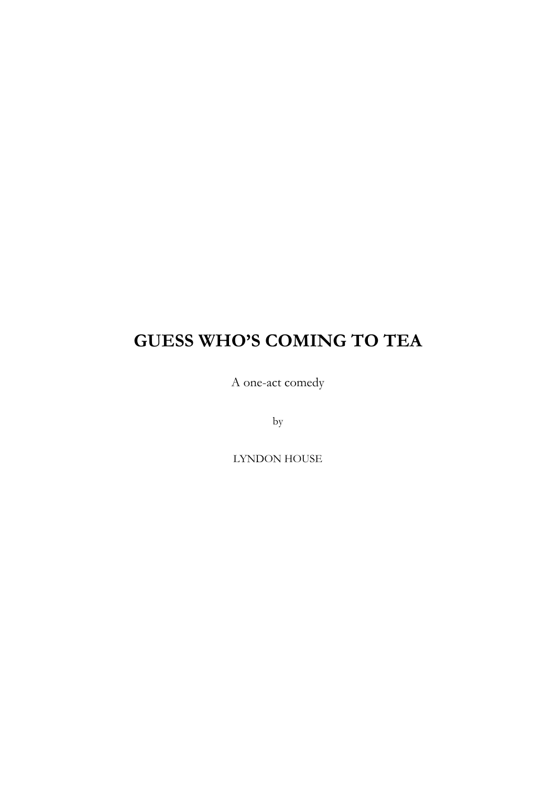## **GUESS WHO'S COMING TO TEA**

A one-act comedy

by

LYNDON HOUSE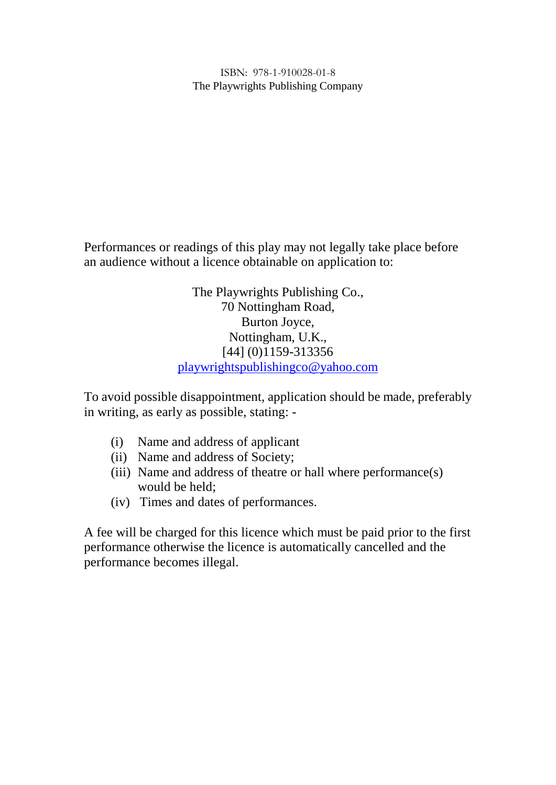ISBN: 978-1-910028-01-8 The Playwrights Publishing Company

Performances or readings of this play may not legally take place before an audience without a licence obtainable on application to:

> The Playwrights Publishing Co., 70 Nottingham Road, Burton Joyce, Nottingham, U.K., [44] (0)1159-313356 playwrightspublishingco@yahoo.com

To avoid possible disappointment, application should be made, preferably in writing, as early as possible, stating: -

- (i) Name and address of applicant
- (ii) Name and address of Society;
- (iii) Name and address of theatre or hall where performance(s) would be held;
- (iv) Times and dates of performances.

A fee will be charged for this licence which must be paid prior to the first performance otherwise the licence is automatically cancelled and the performance becomes illegal.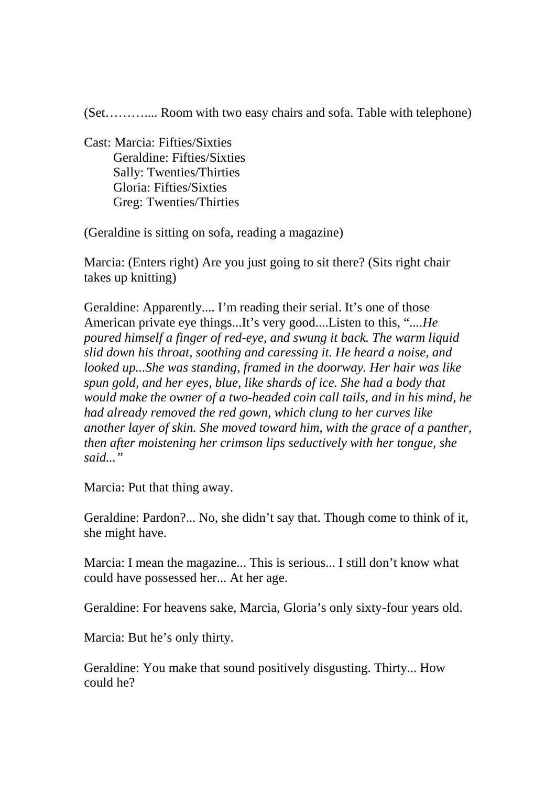(Set……….... Room with two easy chairs and sofa. Table with telephone)

Cast: Marcia: Fifties/Sixties Geraldine: Fifties/Sixties Sally: Twenties/Thirties Gloria: Fifties/Sixties Greg: Twenties/Thirties

(Geraldine is sitting on sofa, reading a magazine)

Marcia: (Enters right) Are you just going to sit there? (Sits right chair takes up knitting)

Geraldine: Apparently.... I'm reading their serial. It's one of those American private eye things...It's very good....Listen to this, "....*He poured himself a finger of red-eye, and swung it back. The warm liquid slid down his throat, soothing and caressing it. He heard a noise, and looked up...She was standing, framed in the doorway. Her hair was like spun gold, and her eyes, blue, like shards of ice. She had a body that would make the owner of a two-headed coin call tails, and in his mind, he had already removed the red gown, which clung to her curves like another layer of skin. She moved toward him, with the grace of a panther, then after moistening her crimson lips seductively with her tongue, she said..."*

Marcia: Put that thing away.

Geraldine: Pardon?... No, she didn't say that. Though come to think of it, she might have.

Marcia: I mean the magazine... This is serious... I still don't know what could have possessed her... At her age.

Geraldine: For heavens sake, Marcia, Gloria's only sixty-four years old.

Marcia: But he's only thirty.

Geraldine: You make that sound positively disgusting. Thirty... How could he?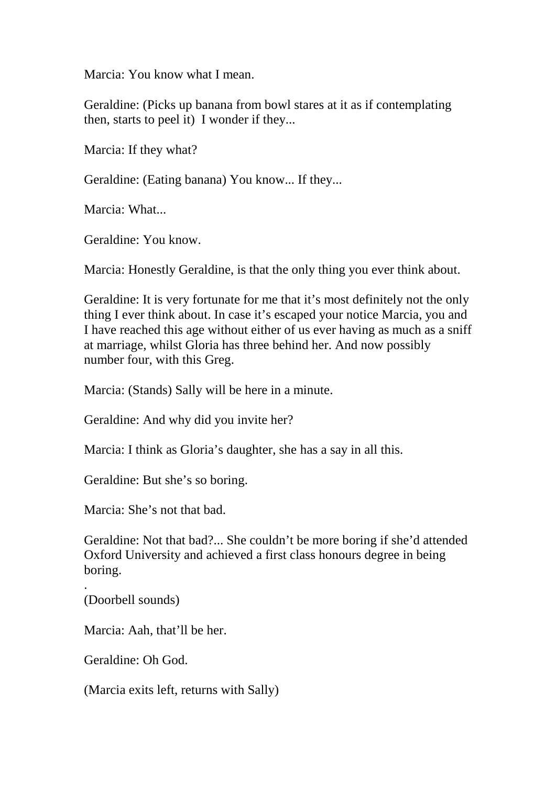Marcia: You know what I mean.

Geraldine: (Picks up banana from bowl stares at it as if contemplating then, starts to peel it) I wonder if they...

Marcia: If they what?

Geraldine: (Eating banana) You know... If they...

Marcia: What...

Geraldine: You know.

Marcia: Honestly Geraldine, is that the only thing you ever think about.

Geraldine: It is very fortunate for me that it's most definitely not the only thing I ever think about. In case it's escaped your notice Marcia, you and I have reached this age without either of us ever having as much as a sniff at marriage, whilst Gloria has three behind her. And now possibly number four, with this Greg.

Marcia: (Stands) Sally will be here in a minute.

Geraldine: And why did you invite her?

Marcia: I think as Gloria's daughter, she has a say in all this.

Geraldine: But she's so boring.

Marcia: She's not that bad.

Geraldine: Not that bad?... She couldn't be more boring if she'd attended Oxford University and achieved a first class honours degree in being boring.

.(Doorbell sounds)

Marcia: Aah, that'll be her.

Geraldine: Oh God.

(Marcia exits left, returns with Sally)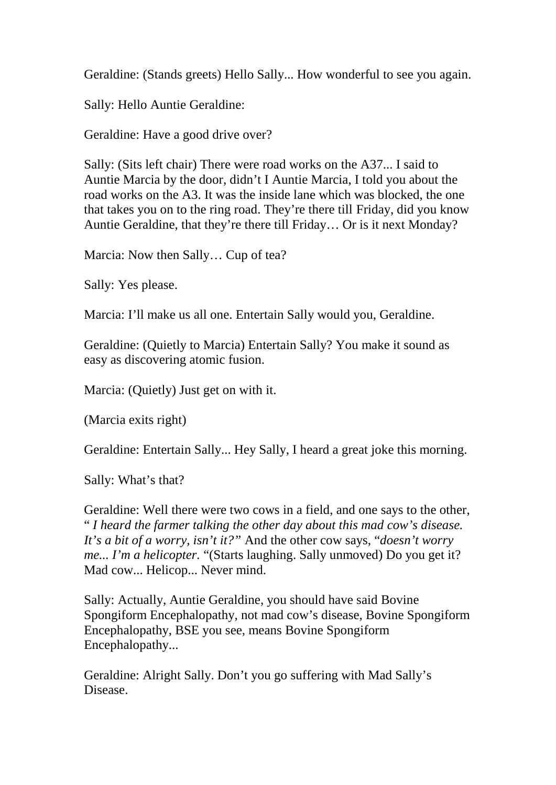Geraldine: (Stands greets) Hello Sally... How wonderful to see you again.

Sally: Hello Auntie Geraldine:

Geraldine: Have a good drive over?

Sally: (Sits left chair) There were road works on the A37... I said to Auntie Marcia by the door, didn't I Auntie Marcia, I told you about the road works on the A3. It was the inside lane which was blocked, the one that takes you on to the ring road. They're there till Friday, did you know Auntie Geraldine, that they're there till Friday… Or is it next Monday?

Marcia: Now then Sally… Cup of tea?

Sally: Yes please.

Marcia: I'll make us all one. Entertain Sally would you, Geraldine.

Geraldine: (Quietly to Marcia) Entertain Sally? You make it sound as easy as discovering atomic fusion.

Marcia: (Quietly) Just get on with it.

(Marcia exits right)

Geraldine: Entertain Sally... Hey Sally, I heard a great joke this morning.

Sally: What's that?

Geraldine: Well there were two cows in a field, and one says to the other, " *I heard the farmer talking the other day about this mad cow's disease. It's a bit of a worry, isn't it?"* And the other cow says, "*doesn't worry me... I'm a helicopter.* "(Starts laughing. Sally unmoved) Do you get it? Mad cow... Helicop... Never mind.

Sally: Actually, Auntie Geraldine, you should have said Bovine Spongiform Encephalopathy, not mad cow's disease, Bovine Spongiform Encephalopathy, BSE you see, means Bovine Spongiform Encephalopathy...

Geraldine: Alright Sally. Don't you go suffering with Mad Sally's Disease.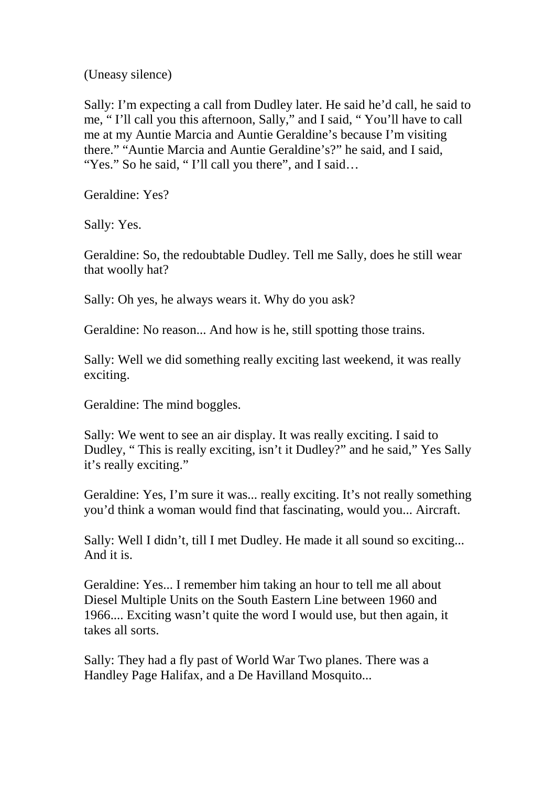(Uneasy silence)

Sally: I'm expecting a call from Dudley later. He said he'd call, he said to me, " I'll call you this afternoon, Sally," and I said, " You'll have to call me at my Auntie Marcia and Auntie Geraldine's because I'm visiting there." "Auntie Marcia and Auntie Geraldine's?" he said, and I said, "Yes." So he said, "I'll call you there", and I said...

Geraldine: Yes?

Sally: Yes.

Geraldine: So, the redoubtable Dudley. Tell me Sally, does he still wear that woolly hat?

Sally: Oh yes, he always wears it. Why do you ask?

Geraldine: No reason... And how is he, still spotting those trains.

Sally: Well we did something really exciting last weekend, it was really exciting.

Geraldine: The mind boggles.

Sally: We went to see an air display. It was really exciting. I said to Dudley, " This is really exciting, isn't it Dudley?" and he said," Yes Sally it's really exciting."

Geraldine: Yes, I'm sure it was... really exciting. It's not really something you'd think a woman would find that fascinating, would you... Aircraft.

Sally: Well I didn't, till I met Dudley. He made it all sound so exciting... And it is.

Geraldine: Yes... I remember him taking an hour to tell me all about Diesel Multiple Units on the South Eastern Line between 1960 and 1966.... Exciting wasn't quite the word I would use, but then again, it takes all sorts.

Sally: They had a fly past of World War Two planes. There was a Handley Page Halifax, and a De Havilland Mosquito...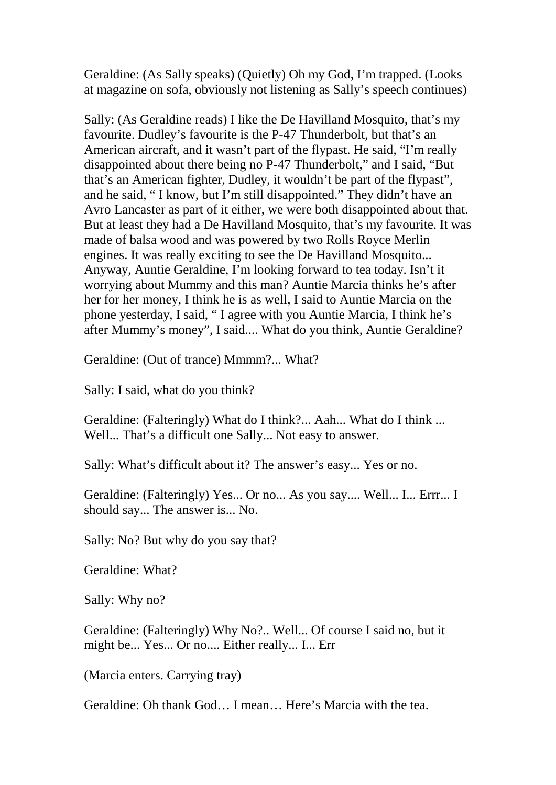Geraldine: (As Sally speaks) (Quietly) Oh my God, I'm trapped. (Looks at magazine on sofa, obviously not listening as Sally's speech continues)

Sally: (As Geraldine reads) I like the De Havilland Mosquito, that's my favourite. Dudley's favourite is the P-47 Thunderbolt, but that's an American aircraft, and it wasn't part of the flypast. He said, "I'm really disappointed about there being no P-47 Thunderbolt," and I said, "But that's an American fighter, Dudley, it wouldn't be part of the flypast", and he said, " I know, but I'm still disappointed." They didn't have an Avro Lancaster as part of it either, we were both disappointed about that. But at least they had a De Havilland Mosquito, that's my favourite. It was made of balsa wood and was powered by two Rolls Royce Merlin engines. It was really exciting to see the De Havilland Mosquito... Anyway, Auntie Geraldine, I'm looking forward to tea today. Isn't it worrying about Mummy and this man? Auntie Marcia thinks he's after her for her money, I think he is as well, I said to Auntie Marcia on the phone yesterday, I said, " I agree with you Auntie Marcia, I think he's after Mummy's money", I said.... What do you think, Auntie Geraldine?

Geraldine: (Out of trance) Mmmm?... What?

Sally: I said, what do you think?

Geraldine: (Falteringly) What do I think?... Aah... What do I think ... Well... That's a difficult one Sally... Not easy to answer.

Sally: What's difficult about it? The answer's easy... Yes or no.

Geraldine: (Falteringly) Yes... Or no... As you say.... Well... I... Errr... I should say... The answer is... No.

Sally: No? But why do you say that?

Geraldine: What?

Sally: Why no?

Geraldine: (Falteringly) Why No?.. Well... Of course I said no, but it might be... Yes... Or no.... Either really... I... Err

(Marcia enters. Carrying tray)

Geraldine: Oh thank God… I mean… Here's Marcia with the tea.